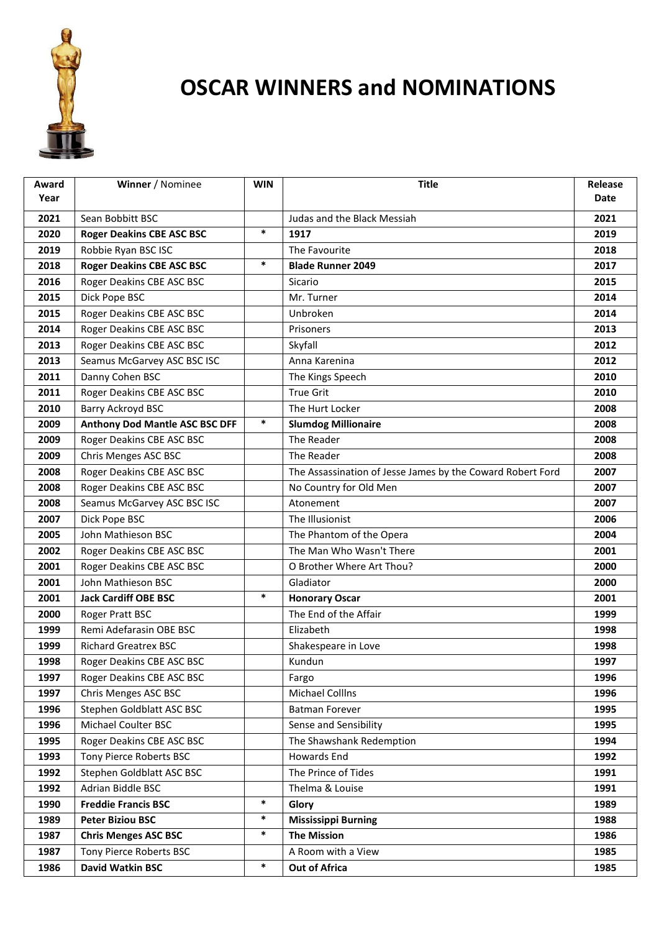

## **OSCAR WINNERS and NOMINATIONS**

| Award | Winner / Nominee                      | <b>WIN</b> | <b>Title</b>                                               | Release |
|-------|---------------------------------------|------------|------------------------------------------------------------|---------|
| Year  |                                       |            |                                                            | Date    |
| 2021  | Sean Bobbitt BSC                      |            | Judas and the Black Messiah                                | 2021    |
| 2020  | <b>Roger Deakins CBE ASC BSC</b>      | $\ast$     | 1917                                                       | 2019    |
| 2019  | Robbie Ryan BSC ISC                   |            | The Favourite                                              | 2018    |
| 2018  | <b>Roger Deakins CBE ASC BSC</b>      | $\ast$     | <b>Blade Runner 2049</b>                                   | 2017    |
| 2016  | Roger Deakins CBE ASC BSC             |            | Sicario                                                    | 2015    |
| 2015  | Dick Pope BSC                         |            | Mr. Turner                                                 | 2014    |
| 2015  | Roger Deakins CBE ASC BSC             |            | Unbroken                                                   | 2014    |
| 2014  | Roger Deakins CBE ASC BSC             |            | Prisoners                                                  | 2013    |
| 2013  | Roger Deakins CBE ASC BSC             |            | Skyfall                                                    | 2012    |
| 2013  | Seamus McGarvey ASC BSC ISC           |            | Anna Karenina                                              | 2012    |
| 2011  | Danny Cohen BSC                       |            | The Kings Speech                                           | 2010    |
| 2011  | Roger Deakins CBE ASC BSC             |            | <b>True Grit</b>                                           | 2010    |
| 2010  | Barry Ackroyd BSC                     |            | The Hurt Locker                                            | 2008    |
| 2009  | <b>Anthony Dod Mantle ASC BSC DFF</b> | $\ast$     | <b>Slumdog Millionaire</b>                                 | 2008    |
| 2009  | Roger Deakins CBE ASC BSC             |            | The Reader                                                 | 2008    |
| 2009  | Chris Menges ASC BSC                  |            | The Reader                                                 | 2008    |
| 2008  | Roger Deakins CBE ASC BSC             |            | The Assassination of Jesse James by the Coward Robert Ford | 2007    |
| 2008  | Roger Deakins CBE ASC BSC             |            | No Country for Old Men                                     | 2007    |
| 2008  | Seamus McGarvey ASC BSC ISC           |            | Atonement                                                  | 2007    |
| 2007  | Dick Pope BSC                         |            | The Illusionist                                            | 2006    |
| 2005  | John Mathieson BSC                    |            | The Phantom of the Opera                                   | 2004    |
| 2002  | Roger Deakins CBE ASC BSC             |            | The Man Who Wasn't There                                   | 2001    |
| 2001  | Roger Deakins CBE ASC BSC             |            | O Brother Where Art Thou?                                  | 2000    |
| 2001  | John Mathieson BSC                    |            | Gladiator                                                  | 2000    |
| 2001  | <b>Jack Cardiff OBE BSC</b>           | $\ast$     | <b>Honorary Oscar</b>                                      | 2001    |
| 2000  | Roger Pratt BSC                       |            | The End of the Affair                                      | 1999    |
| 1999  | Remi Adefarasin OBE BSC               |            | Elizabeth                                                  | 1998    |
| 1999  | <b>Richard Greatrex BSC</b>           |            | Shakespeare in Love                                        | 1998    |
| 1998  | Roger Deakins CBE ASC BSC             |            | Kundun                                                     | 1997    |
| 1997  | Roger Deakins CBE ASC BSC             |            | Fargo                                                      | 1996    |
| 1997  | Chris Menges ASC BSC                  |            | Michael Colllns                                            | 1996    |
| 1996  | Stephen Goldblatt ASC BSC             |            | Batman Forever                                             | 1995    |
| 1996  | Michael Coulter BSC                   |            | Sense and Sensibility                                      | 1995    |
| 1995  | Roger Deakins CBE ASC BSC             |            | The Shawshank Redemption                                   | 1994    |
| 1993  | Tony Pierce Roberts BSC               |            | Howards End                                                | 1992    |
| 1992  | Stephen Goldblatt ASC BSC             |            | The Prince of Tides                                        | 1991    |
| 1992  | Adrian Biddle BSC                     |            | Thelma & Louise                                            | 1991    |
| 1990  | <b>Freddie Francis BSC</b>            | $\ast$     | Glory                                                      | 1989    |
| 1989  | <b>Peter Biziou BSC</b>               | $\ast$     | <b>Mississippi Burning</b>                                 | 1988    |
| 1987  | <b>Chris Menges ASC BSC</b>           | $\ast$     | <b>The Mission</b>                                         | 1986    |
| 1987  | Tony Pierce Roberts BSC               |            | A Room with a View                                         | 1985    |
| 1986  | David Watkin BSC                      | $\ast$     | <b>Out of Africa</b>                                       | 1985    |